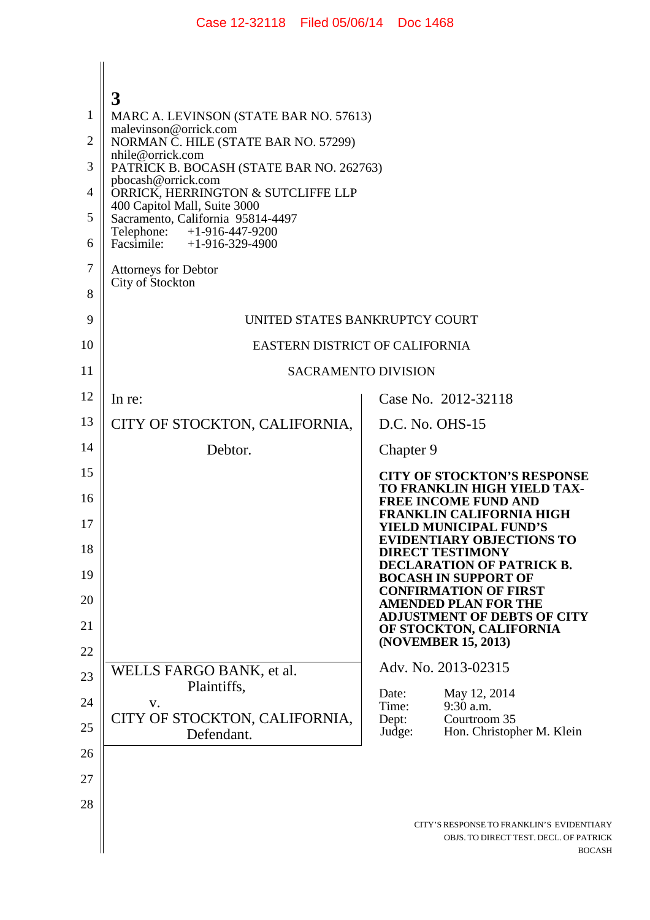|                | 3                                                                 |                                                                                                      |  |
|----------------|-------------------------------------------------------------------|------------------------------------------------------------------------------------------------------|--|
| 1              | MARC A. LEVINSON (STATE BAR NO. 57613)<br>malevinson@orrick.com   |                                                                                                      |  |
| $\overline{2}$ | NORMAN C. HILE (STATE BAR NO. 57299)<br>nhile@orrick.com          |                                                                                                      |  |
| 3              | PATRICK B. BOCASH (STATE BAR NO. 262763)                          |                                                                                                      |  |
| 4              | pbocash@orrick.com<br>ORRICK, HERRINGTON & SUTCLIFFE LLP          |                                                                                                      |  |
| 5              | 400 Capitol Mall, Suite 3000<br>Sacramento, California 95814-4497 |                                                                                                      |  |
| 6              | +1-916-447-9200<br>Telephone:<br>Facsimile: $+1-916-329-4900$     |                                                                                                      |  |
| 7              | <b>Attorneys for Debtor</b>                                       |                                                                                                      |  |
| 8              | City of Stockton                                                  |                                                                                                      |  |
| 9              | UNITED STATES BANKRUPTCY COURT                                    |                                                                                                      |  |
| 10             | EASTERN DISTRICT OF CALIFORNIA                                    |                                                                                                      |  |
| 11             | <b>SACRAMENTO DIVISION</b>                                        |                                                                                                      |  |
| 12             | In re:                                                            | Case No. 2012-32118                                                                                  |  |
| 13             | CITY OF STOCKTON, CALIFORNIA,                                     | D.C. No. OHS-15                                                                                      |  |
| 14             | Debtor.                                                           | Chapter 9                                                                                            |  |
| 15             |                                                                   | <b>CITY OF STOCKTON'S RESPONSE</b><br>TO FRANKLIN HIGH YIELD TAX-                                    |  |
| 16             |                                                                   | <b>FREE INCOME FUND AND</b><br><b>FRANKLIN CALIFORNIA HIGH</b>                                       |  |
| 17             |                                                                   | <b>YIELD MUNICIPAL FUND'S</b><br><b>EVIDENTIARY OBJECTIONS TO</b>                                    |  |
| 18             |                                                                   | <b>DIRECT TESTIMONY</b><br><b>DECLARATION OF PATRICK B.</b>                                          |  |
| 19             |                                                                   | <b>BOCASH IN SUPPORT OF</b><br><b>CONFIRMATION OF FIRST</b>                                          |  |
| 20             |                                                                   | <b>AMENDED PLAN FOR THE</b><br><b>ADJUSTMENT OF DEBTS OF CITY</b>                                    |  |
| 21             |                                                                   | OF STOCKTON, CALIFORNIA<br>(NOVEMBER 15, 2013)                                                       |  |
| 22             |                                                                   | Adv. No. 2013-02315                                                                                  |  |
| 23             | WELLS FARGO BANK, et al.<br>Plaintiffs,                           | Date:<br>May 12, 2014                                                                                |  |
| 24             | V.<br>CITY OF STOCKTON, CALIFORNIA,                               | 9:30 a.m.<br>Time:<br>Courtroom 35                                                                   |  |
| 25             | Defendant.                                                        | Dept:<br>Hon. Christopher M. Klein<br>Judge:                                                         |  |
| 26             |                                                                   |                                                                                                      |  |
| 27             |                                                                   |                                                                                                      |  |
| 28             |                                                                   |                                                                                                      |  |
|                |                                                                   | CITY'S RESPONSE TO FRANKLIN'S EVIDENTIARY<br>OBJS. TO DIRECT TEST. DECL. OF PATRICK<br><b>BOCASH</b> |  |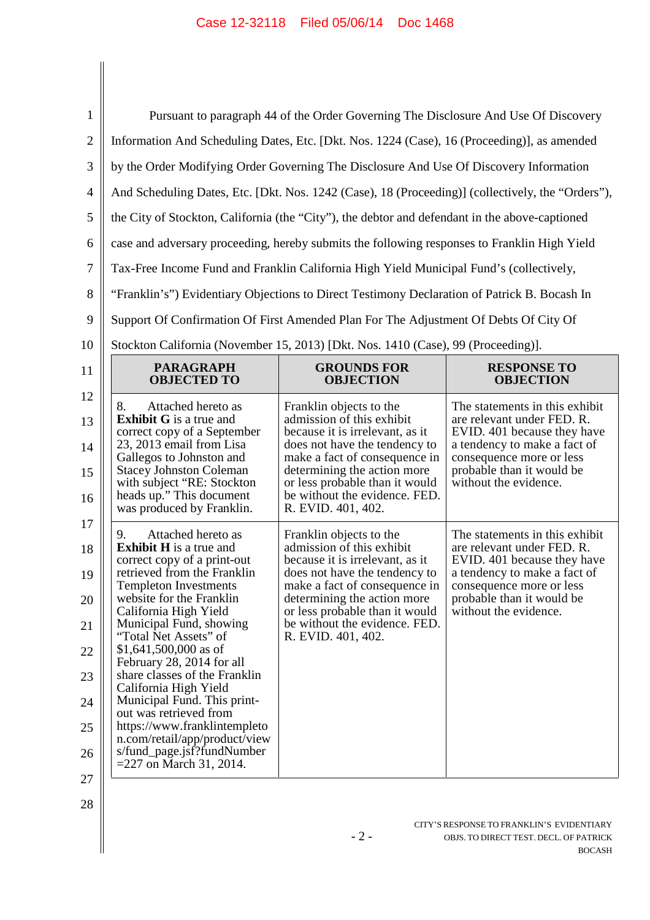| $\mathbf{1}$               | Pursuant to paragraph 44 of the Order Governing The Disclosure And Use Of Discovery                                                                                                                                                                                         |                                                                                                                                                                                                                                                                                   |                                                                                                                                                                                                               |  |  |
|----------------------------|-----------------------------------------------------------------------------------------------------------------------------------------------------------------------------------------------------------------------------------------------------------------------------|-----------------------------------------------------------------------------------------------------------------------------------------------------------------------------------------------------------------------------------------------------------------------------------|---------------------------------------------------------------------------------------------------------------------------------------------------------------------------------------------------------------|--|--|
| $\overline{2}$             | Information And Scheduling Dates, Etc. [Dkt. Nos. 1224 (Case), 16 (Proceeding)], as amended                                                                                                                                                                                 |                                                                                                                                                                                                                                                                                   |                                                                                                                                                                                                               |  |  |
| 3                          | by the Order Modifying Order Governing The Disclosure And Use Of Discovery Information                                                                                                                                                                                      |                                                                                                                                                                                                                                                                                   |                                                                                                                                                                                                               |  |  |
| $\overline{4}$             | And Scheduling Dates, Etc. [Dkt. Nos. 1242 (Case), 18 (Proceeding)] (collectively, the "Orders"),                                                                                                                                                                           |                                                                                                                                                                                                                                                                                   |                                                                                                                                                                                                               |  |  |
| 5                          | the City of Stockton, California (the "City"), the debtor and defendant in the above-captioned                                                                                                                                                                              |                                                                                                                                                                                                                                                                                   |                                                                                                                                                                                                               |  |  |
| 6                          | case and adversary proceeding, hereby submits the following responses to Franklin High Yield                                                                                                                                                                                |                                                                                                                                                                                                                                                                                   |                                                                                                                                                                                                               |  |  |
| 7                          | Tax-Free Income Fund and Franklin California High Yield Municipal Fund's (collectively,                                                                                                                                                                                     |                                                                                                                                                                                                                                                                                   |                                                                                                                                                                                                               |  |  |
| 8                          |                                                                                                                                                                                                                                                                             |                                                                                                                                                                                                                                                                                   |                                                                                                                                                                                                               |  |  |
|                            | "Franklin's") Evidentiary Objections to Direct Testimony Declaration of Patrick B. Bocash In                                                                                                                                                                                |                                                                                                                                                                                                                                                                                   |                                                                                                                                                                                                               |  |  |
| 9                          | Support Of Confirmation Of First Amended Plan For The Adjustment Of Debts Of City Of                                                                                                                                                                                        |                                                                                                                                                                                                                                                                                   |                                                                                                                                                                                                               |  |  |
| 10                         | Stockton California (November 15, 2013) [Dkt. Nos. 1410 (Case), 99 (Proceeding)].                                                                                                                                                                                           |                                                                                                                                                                                                                                                                                   |                                                                                                                                                                                                               |  |  |
| 11                         | <b>PARAGRAPH</b><br><b>OBJECTED TO</b>                                                                                                                                                                                                                                      | <b>GROUNDS FOR</b><br><b>OBJECTION</b>                                                                                                                                                                                                                                            | <b>RESPONSE TO</b><br><b>OBJECTION</b>                                                                                                                                                                        |  |  |
| 12<br>13<br>14<br>15<br>16 | Attached hereto as<br>8.<br><b>Exhibit G</b> is a true and<br>correct copy of a September<br>23, 2013 email from Lisa<br>Gallegos to Johnston and<br><b>Stacey Johnston Coleman</b><br>with subject "RE: Stockton"<br>heads up." This document<br>was produced by Franklin. | Franklin objects to the<br>admission of this exhibit<br>because it is irrelevant, as it<br>does not have the tendency to<br>make a fact of consequence in<br>determining the action more<br>or less probable than it would<br>be without the evidence. FED.<br>R. EVID. 401, 402. | The statements in this exhibit<br>are relevant under FED. R.<br>EVID. 401 because they have<br>a tendency to make a fact of<br>consequence more or less<br>probable than it would be<br>without the evidence. |  |  |
| 17<br>18<br>19<br>20<br>21 | Attached hereto as<br>9.<br><b>Exhibit H</b> is a true and<br>correct copy of a print-out<br>retrieved from the Franklin<br><b>Templeton Investments</b><br>website for the Franklin<br>California High Yield<br>Municipal Fund, showing<br>"Total Net Assets" of           | Franklin objects to the<br>admission of this exhibit<br>because it is irrelevant, as it<br>does not have the tendency to<br>make a fact of consequence in<br>determining the action more<br>or less probable than it would<br>be without the evidence. FED.<br>R. EVID. 401, 402. | The statements in this exhibit<br>are relevant under FED. R.<br>EVID. 401 because they have<br>a tendency to make a fact of<br>consequence more or less<br>probable than it would be<br>without the evidence. |  |  |
| 22<br>23                   | $$1,641,500,000$ as of<br>February 28, 2014 for all<br>share classes of the Franklin                                                                                                                                                                                        |                                                                                                                                                                                                                                                                                   |                                                                                                                                                                                                               |  |  |
| 24                         | California High Yield<br>Municipal Fund. This print-                                                                                                                                                                                                                        |                                                                                                                                                                                                                                                                                   |                                                                                                                                                                                                               |  |  |
| 25                         | out was retrieved from<br>https://www.franklintempleto                                                                                                                                                                                                                      |                                                                                                                                                                                                                                                                                   |                                                                                                                                                                                                               |  |  |
| 26                         | n.com/retail/app/product/view<br>s/fund_page.jsf?fundNumber<br>$=$ 227 on March 31, 2014.                                                                                                                                                                                   |                                                                                                                                                                                                                                                                                   |                                                                                                                                                                                                               |  |  |

27

 $\parallel$ 

28

CITY'S RESPONSE TO FRANKLIN'S EVIDENTIARY OBJS. TO DIRECT TEST. DECL. OF PATRICK BOCASH